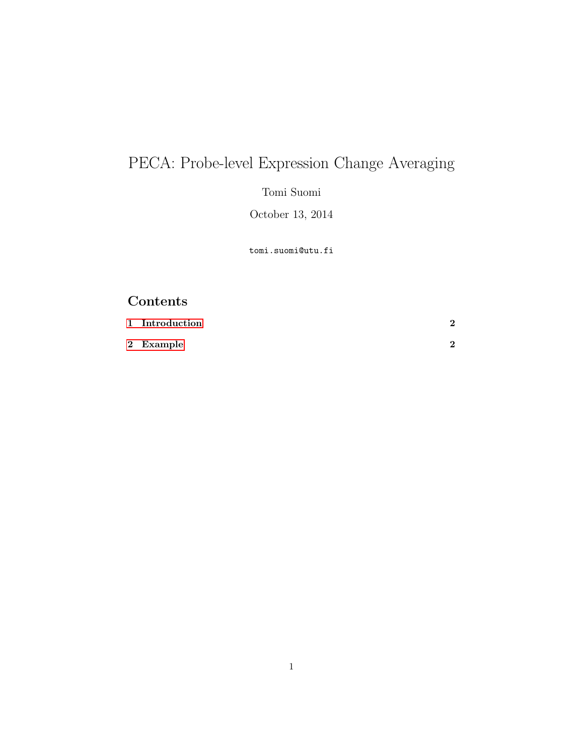## PECA: Probe-level Expression Change Averaging

Tomi Suomi

October 13, 2014

tomi.suomi@utu.fi

## Contents

| 1 Introduction |  |
|----------------|--|
| 2 Example      |  |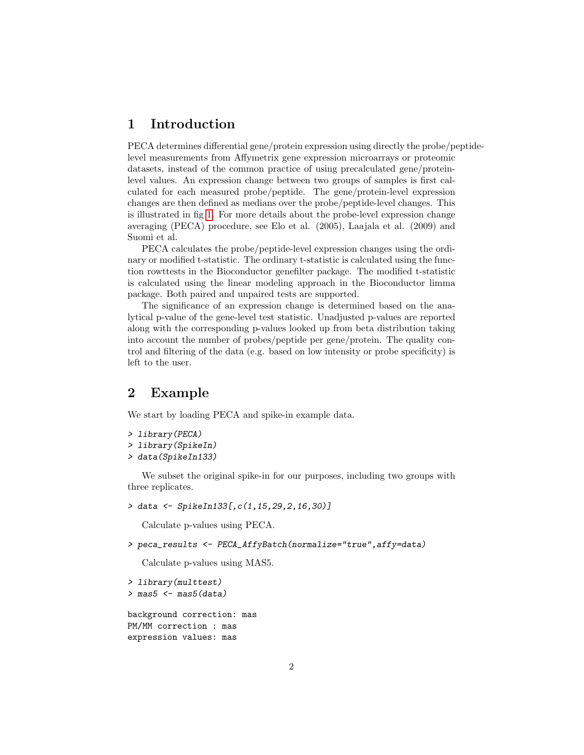## <span id="page-1-0"></span>1 Introduction

PECA determines differential gene/protein expression using directly the probe/peptidelevel measurements from Affymetrix gene expression microarrays or proteomic datasets, instead of the common practice of using precalculated gene/proteinlevel values. An expression change between two groups of samples is first calculated for each measured probe/peptide. The gene/protein-level expression changes are then defined as medians over the probe/peptide-level changes. This is illustrated in fig [1.](#page-2-0) For more details about the probe-level expression change averaging (PECA) procedure, see Elo et al. (2005), Laajala et al. (2009) and Suomi et al.

PECA calculates the probe/peptide-level expression changes using the ordinary or modified t-statistic. The ordinary t-statistic is calculated using the function rowttests in the Bioconductor genefilter package. The modified t-statistic is calculated using the linear modeling approach in the Bioconductor limma package. Both paired and unpaired tests are supported.

The significance of an expression change is determined based on the analytical p-value of the gene-level test statistic. Unadjusted p-values are reported along with the corresponding p-values looked up from beta distribution taking into account the number of probes/peptide per gene/protein. The quality control and filtering of the data (e.g. based on low intensity or probe specificity) is left to the user.

## <span id="page-1-1"></span>2 Example

We start by loading PECA and spike-in example data.

```
> library(PECA)
```

```
> library(SpikeIn)
```
> data(SpikeIn133)

We subset the original spike-in for our purposes, including two groups with three replicates.

```
> data <- SpikeIn133[,c(1,15,29,2,16,30)]
```
Calculate p-values using PECA.

```
> peca_results <- PECA_AffyBatch(normalize="true",affy=data)
```
Calculate p-values using MAS5.

```
> library(multtest)
> mas5 <- mas5(data)
background correction: mas
PM/MM correction : mas
expression values: mas
```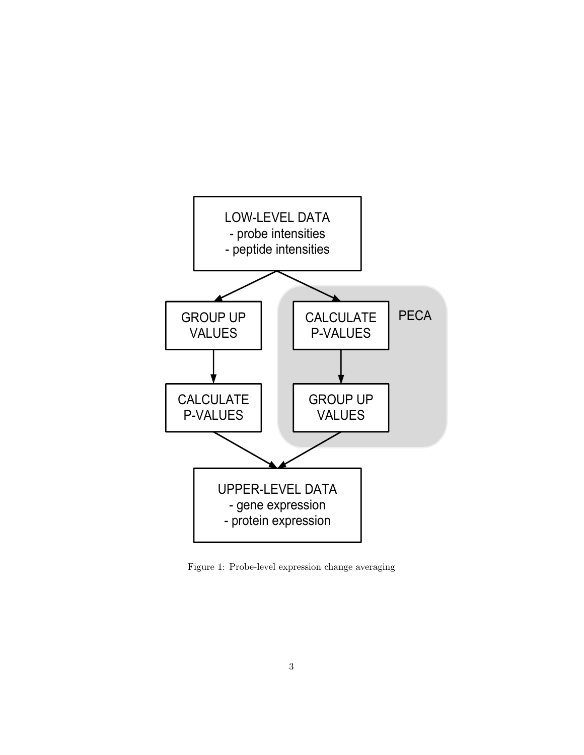

<span id="page-2-0"></span>Figure 1: Probe-level expression change averaging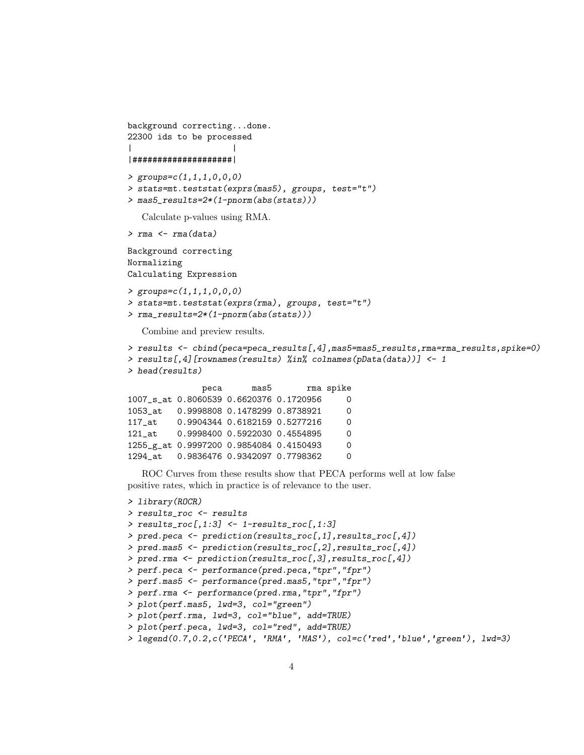```
background correcting...done.
22300 ids to be processed
| |
|####################|
> groups=c(1,1,1,0,0,0)> stats=mt.teststat(exprs(mas5), groups, test="t")
> mas5_results=2*(1-pnorm(abs(stats)))
  Calculate p-values using RMA.
> rma \leq rma(data)
Background correcting
Normalizing
Calculating Expression
> groups=c(1,1,1,0,0,0)
> stats=mt.teststat(exprs(rma), groups, test="t")
> rma_results=2*(1-pnorm(abs(stats)))
  Combine and preview results.
> results <- cbind(peca=peca_results[,4],mas5=mas5_results,rma=rma_results,spike=0)
> results[,4][rownames(results) %in% colnames(pData(data))] <- 1
> head(results)
              peca mas5 rma spike
1007_s_at 0.8060539 0.6620376 0.1720956 0
1053_at 0.9998808 0.1478299 0.8738921 0
117_at 0.9904344 0.6182159 0.5277216 0
121_at 0.9998400 0.5922030 0.4554895 0
```
ROC Curves from these results show that PECA performs well at low false positive rates, which in practice is of relevance to the user.

1255\_g\_at 0.9997200 0.9854084 0.4150493 0 1294\_at 0.9836476 0.9342097 0.7798362 0

```
> library(ROCR)
> results_roc <- results
> results_roc[,1:3] <- 1-results_roc[,1:3]
> pred.peca <- prediction(results_roc[,1],results_roc[,4])
> pred.mas5 <- prediction(results_roc[,2],results_roc[,4])
> pred.rma <- prediction(results_roc[,3],results_roc[,4])
> perf.peca <- performance(pred.peca,"tpr","fpr")
> perf.mas5 <- performance(pred.mas5,"tpr","fpr")
> perf.rma <- performance(pred.rma,"tpr","fpr")
> plot(perf.mas5, lwd=3, col="green")
> plot(perf.rma, lwd=3, col="blue", add=TRUE)
> plot(perf.peca, lwd=3, col="red", add=TRUE)
> legend(0.7,0.2,c('PECA', 'RMA', 'MAS'), col=c('red','blue','green'), lwd=3)
```